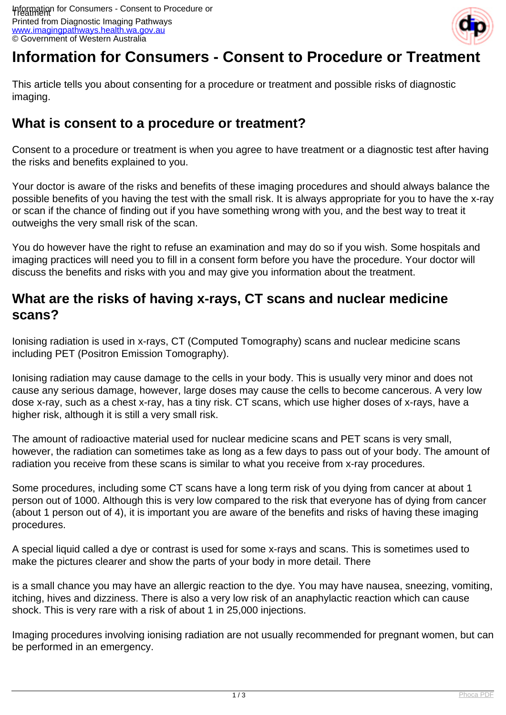

# **Information for Consumers - Consent to Procedure or Treatmer**

This article tells you about consenting for a procedure or treatment and possible risks of diagnostic imaging.

#### **What is consent to a procedure or treatment?**

Consent to a procedure or treatment is when you agree to have treatment or a diagnostic test after having the risks and benefits explained to you.

Your doctor is aware of the risks and benefits of these imaging procedures and should always balance the possible benefits of you having the test with the small risk. It is always appropriate for you to have the x-ray or scan if the chance of finding out if you have something wrong with you, and the best way to treat it outweighs the very small risk of the scan.

You do however have the right to refuse an examination and may do so if you wish. Some hospitals and imaging practices will need you to fill in a consent form before you have the procedure. Your doctor will discuss the benefits and risks with you and may give you information about the treatment.

## **What are the risks of having x-rays, CT scans and nuclear medicine scans?**

Ionising radiation is used in x-rays, CT (Computed Tomography) scans and nuclear medicine scans including PET (Positron Emission Tomography).

Ionising radiation may cause damage to the cells in your body. This is usually very minor and does not cause any serious damage, however, large doses may cause the cells to become cancerous. A very low dose x-ray, such as a chest x-ray, has a tiny risk. CT scans, which use higher doses of x-rays, have a higher risk, although it is still a very small risk.

The amount of radioactive material used for nuclear medicine scans and PET scans is very small, however, the radiation can sometimes take as long as a few days to pass out of your body. The amount of radiation you receive from these scans is similar to what you receive from x-ray procedures.

Some procedures, including some CT scans have a long term risk of you dying from cancer at about 1 person out of 1000. Although this is very low compared to the risk that everyone has of dying from cancer (about 1 person out of 4), it is important you are aware of the benefits and risks of having these imaging procedures.

A special liquid called a dye or contrast is used for some x-rays and scans. This is sometimes used to make the pictures clearer and show the parts of your body in more detail. There

is a small chance you may have an allergic reaction to the dye. You may have nausea, sneezing, vomiting, itching, hives and dizziness. There is also a very low risk of an anaphylactic reaction which can cause shock. This is very rare with a risk of about 1 in 25,000 injections.

Imaging procedures involving ionising radiation are not usually recommended for pregnant women, but can be performed in an emergency.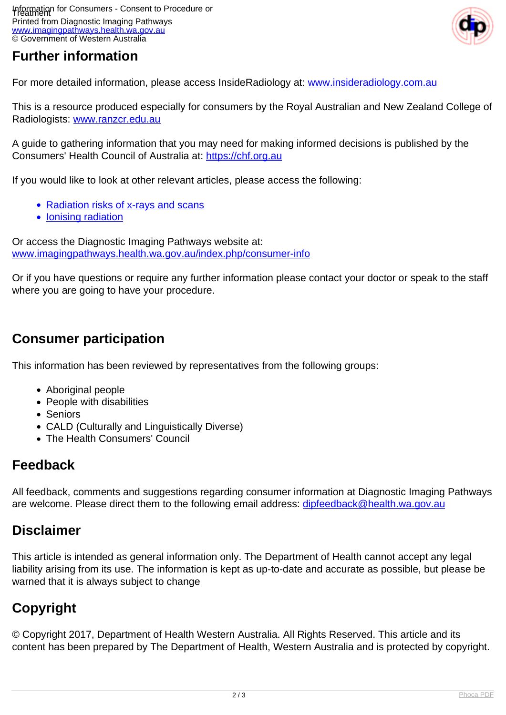### **Further information**



For more detailed information, please access InsideRadiology at: [www.insideradiology.com.au](http://www.insideradiology.com.au/)

This is a resource produced especially for consumers by the Royal Australian and New Zealand College of Radiologists: [www.ranzcr.edu.au](http://www.ranzcr.edu.au/)

A guide to gathering information that you may need for making informed decisions is published by the Consumers' Health Council of Australia at: <https://chf.org.au>

If you would like to look at other relevant articles, please access the following:

- [Radiation risks of x-rays and scans](index.php/consumer-info/general-information-about-diagnostic-imaging/radiation-risks-of-x-rays-and-scans)
- [Ionising radiation](index.php/about-imaging/ionising-radiation)

Or access the Diagnostic Imaging Pathways website at: [www.imagingpathways.health.wa.gov.au/index.php/consumer-info](index.php/consumer-info)

Or if you have questions or require any further information please contact your doctor or speak to the staff where you are going to have your procedure.

#### **Consumer participation**

This information has been reviewed by representatives from the following groups:

- Aboriginal people
- People with disabilities
- Seniors
- CALD (Culturally and Linguistically Diverse)
- The Health Consumers' Council

#### **Feedback**

All feedback, comments and suggestions regarding consumer information at Diagnostic Imaging Pathways are welcome. Please direct them to the following email address: [dipfeedback@health.wa.gov.au](mailto:dipfeedback@health.wa.gov.au)

#### **Disclaimer**

This article is intended as general information only. The Department of Health cannot accept any legal liability arising from its use. The information is kept as up-to-date and accurate as possible, but please be warned that it is always subject to change

## **Copyright**

© Copyright 2017, Department of Health Western Australia. All Rights Reserved. This article and its content has been prepared by The Department of Health, Western Australia and is protected by copyright.